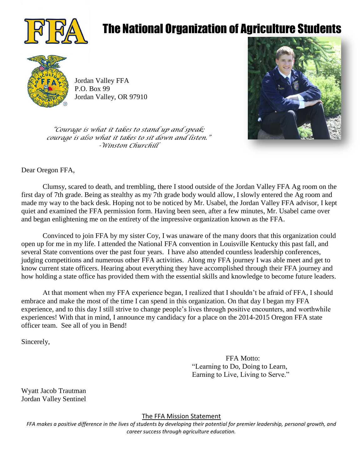

# The National Organization of Agriculture Students



Jordan Valley FFA P.O. Box 99 Jordan Valley, OR 97910

*"Courage is what it takes to stand up and speak; courage is also what it takes to sit down and listen." -Winston Churchill*



Dear Oregon FFA,

Clumsy, scared to death, and trembling, there I stood outside of the Jordan Valley FFA Ag room on the first day of 7th grade. Being as stealthy as my 7th grade body would allow, I slowly entered the Ag room and made my way to the back desk. Hoping not to be noticed by Mr. Usabel, the Jordan Valley FFA advisor, I kept quiet and examined the FFA permission form. Having been seen, after a few minutes, Mr. Usabel came over and began enlightening me on the entirety of the impressive organization known as the FFA.

Convinced to join FFA by my sister Coy, I was unaware of the many doors that this organization could open up for me in my life. I attended the National FFA convention in Louisville Kentucky this past fall, and several State conventions over the past four years. I have also attended countless leadership conferences, judging competitions and numerous other FFA activities. Along my FFA journey I was able meet and get to know current state officers. Hearing about everything they have accomplished through their FFA journey and how holding a state office has provided them with the essential skills and knowledge to become future leaders.

At that moment when my FFA experience began, I realized that I shouldn't be afraid of FFA, I should embrace and make the most of the time I can spend in this organization. On that day I began my FFA experience, and to this day I still strive to change people's lives through positive encounters, and worthwhile experiences! With that in mind, I announce my candidacy for a place on the 2014-2015 Oregon FFA state officer team. See all of you in Bend!

Sincerely,

 FFA Motto: "Learning to Do, Doing to Learn, Earning to Live, Living to Serve."

Wyatt Jacob Trautman Jordan Valley Sentinel

The FFA Mission Statement

*FFA makes a positive difference in the lives of students by developing their potential for premier leadership, personal growth, and career success through agriculture education.*